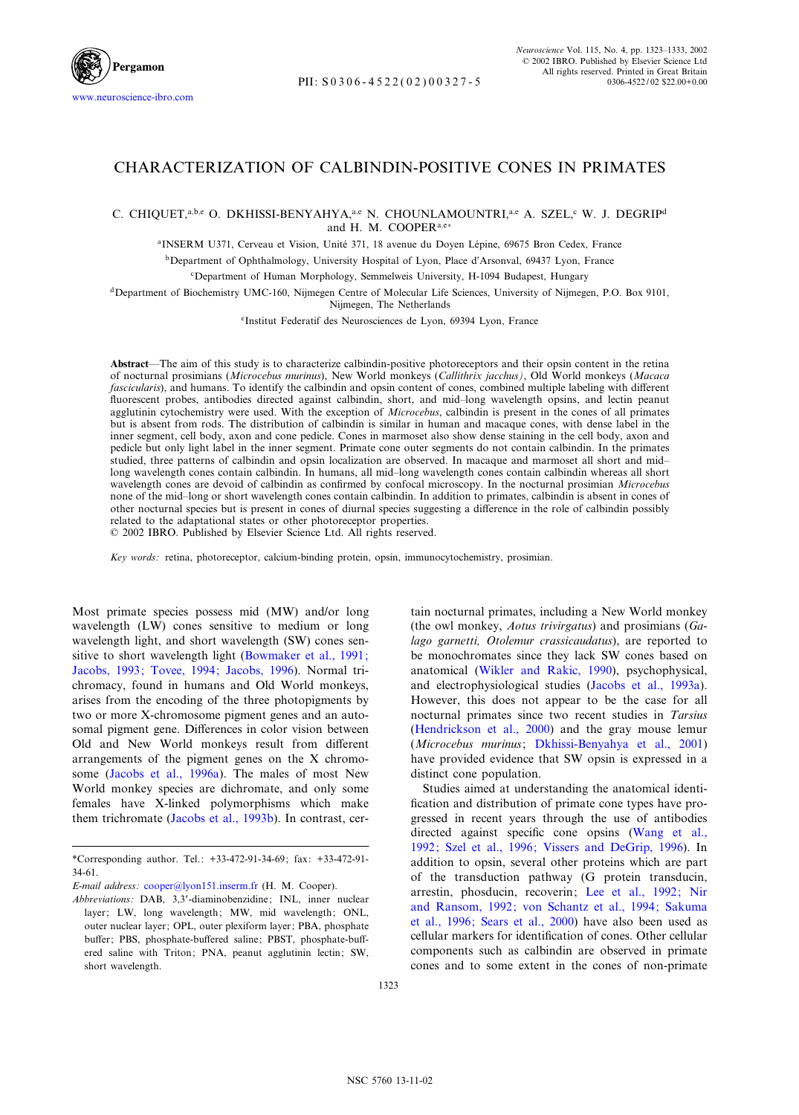

# CHARACTERIZATION OF CALBINDIN-POSITIVE CONES IN PRIMATES

# C. CHIQUET,<sup>a,b,e</sup> O. DKHISSI-BENYAHYA,<sup>a,e</sup> N. CHOUNLAMOUNTRI,<sup>a,e</sup> A. SZEL,<sup>c</sup> W. J. DEGRIP<sup>d</sup> and H. M. COOPER<sup>a,e+</sup>

<sup>a</sup>INSERM U371, Cerveau et Vision, Unité 371, 18 avenue du Doyen Lépine, 69675 Bron Cedex, France

bDepartment of Ophthalmology, University Hospital of Lyon, Place d'Arsonval, 69437 Lyon, France

cDepartment of Human Morphology, Semmelweis University, H-1094 Budapest, Hungary

dDepartment of Biochemistry UMC-160, Nijmegen Centre of Molecular Life Sciences, University of Nijmegen, P.O. Box 9101, Nijmegen, The Netherlands

eInstitut Federatif des Neurosciences de Lyon, 69394 Lyon, France

Abstract—The aim of this study is to characterize calbindin-positive photoreceptors and their opsin content in the retina of nocturnal prosimians (Microcebus murinus), New World monkeys (Callithrix jacchus), Old World monkeys (Macaca fascicularis), and humans. To identify the calbindin and opsin content of cones, combined multiple labeling with different fluorescent probes, antibodies directed against calbindin, short, and mid-long wavelength opsins, and lectin peanut agglutinin cytochemistry were used. With the exception of Microcebus, calbindin is present in the cones of all primates but is absent from rods. The distribution of calbindin is similar in human and macaque cones, with dense label in the inner segment, cell body, axon and cone pedicle. Cones in marmoset also show dense staining in the cell body, axon and pedicle but only light label in the inner segment. Primate cone outer segments do not contain calbindin. In the primates studied, three patterns of calbindin and opsin localization are observed. In macaque and marmoset all short and mid^ long wavelength cones contain calbindin. In humans, all mid-long wavelength cones contain calbindin whereas all short wavelength cones are devoid of calbindin as confirmed by confocal microscopy. In the nocturnal prosimian Microcebus none of the mid-long or short wavelength cones contain calbindin. In addition to primates, calbindin is absent in cones of other nocturnal species but is present in cones of diurnal species suggesting a difference in the role of calbindin possibly related to the adaptational states or other photoreceptor properties.

 $\odot$  2002 IBRO. Published by Elsevier Science Ltd. All rights reserved.

Key words: retina, photoreceptor, calcium-binding protein, opsin, immunocytochemistry, prosimian.

Most primate species possess mid (MW) and/or long wavelength (LW) cones sensitive to medium or long wavelength light, and short wavelength (SW) cones sensitive to short wavelength light [\(Bowmaker et al., 1991;](#page-9-0) [Jacobs, 1993; Tovee, 1994; Jacobs, 1996\)](#page-9-0). Normal trichromacy, found in humans and Old World monkeys, arises from the encoding of the three photopigments by two or more X-chromosome pigment genes and an autosomal pigment gene. Differences in color vision between Old and New World monkeys result from different arrangements of the pigment genes on the X chromosome ([Jacobs et al., 1996a\)](#page-9-0). The males of most New World monkey species are dichromate, and only some females have X-linked polymorphisms which make them trichromate [\(Jacobs et al., 1993b\)](#page-9-0). In contrast, certain nocturnal primates, including a New World monkey (the owl monkey, Aotus trivirgatus) and prosimians (Galago garnetti, Otolemur crassicaudatus), are reported to be monochromates since they lack SW cones based on anatomical ([Wikler and Rakic, 1990](#page-10-0)), psychophysical, and electrophysiological studies [\(Jacobs et al., 1993a\)](#page-9-0). However, this does not appear to be the case for all nocturnal primates since two recent studies in Tarsius [\(Hendrickson et al., 2000\)](#page-9-0) and the gray mouse lemur (Microcebus murinus; [Dkhissi-Benyahya et al., 2001](#page-9-0)) have provided evidence that SW opsin is expressed in a distinct cone population.

Studies aimed at understanding the anatomical identi fication and distribution of primate cone types have progressed in recent years through the use of antibodies directed against specific cone opsins ([Wang et al.,](#page-10-0) [1992; Szel et al., 1996; Vissers and DeGrip, 1996](#page-10-0)). In addition to opsin, several other proteins which are part of the transduction pathway  $(G$  protein transducin, arrestin, phosducin, recoverin; [Lee et al., 1992; Nir](#page-9-0) [and Ransom, 1992; von Schantz et al., 1994; Sakuma](#page-9-0) [et al., 1996; Sears et al., 2000\)](#page-9-0) have also been used as cellular markers for identification of cones. Other cellular components such as calbindin are observed in primate cones and to some extent in the cones of non-primate

<sup>\*</sup>Corresponding author. Tel.: +33-472-91-34-69; fax: +33-472-91- 34-61.

E-mail address : [cooper@lyon151.inserm.fr](mailto:cooper@lyon151.inserm.fr) (H. M. Cooper).

Abbreviations: DAB, 3,3'-diaminobenzidine; INL, inner nuclear layer; LW, long wavelength; MW, mid wavelength; ONL, outer nuclear layer; OPL, outer plexiform layer; PBA, phosphate buffer; PBS, phosphate-buffered saline; PBST, phosphate-buffered saline with Triton; PNA, peanut agglutinin lectin; SW, short wavelength.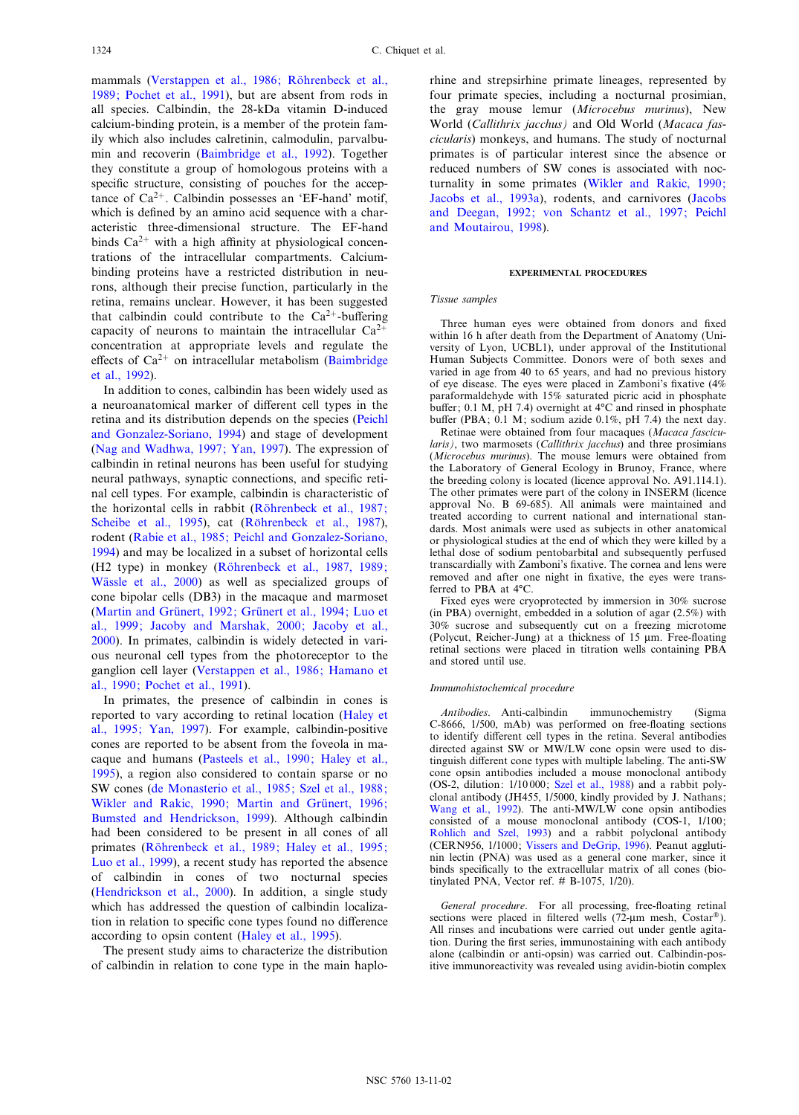mammals (Verstappen et al., 1986; Röhrenbeck et al., [1989; Pochet et al., 1991\)](#page-10-0), but are absent from rods in all species. Calbindin, the 28-kDa vitamin D-induced calcium-binding protein, is a member of the protein family which also includes calretinin, calmodulin, parvalbumin and recoverin [\(Baimbridge et al., 1992](#page-9-0)). Together they constitute a group of homologous proteins with a specific structure, consisting of pouches for the acceptance of  $Ca^{2+}$ . Calbindin possesses an 'EF-hand' motif, which is defined by an amino acid sequence with a characteristic three-dimensional structure. The EF-hand binds  $Ca^{2+}$  with a high affinity at physiological concentrations of the intracellular compartments. Calciumbinding proteins have a restricted distribution in neurons, although their precise function, particularly in the retina, remains unclear. However, it has been suggested that calbindin could contribute to the  $Ca^{2+}$ -buffering capacity of neurons to maintain the intracellular  $Ca^{2+}$ concentration at appropriate levels and regulate the effects of  $Ca^{2+}$  on intracellular metabolism ([Baimbridge](#page-9-0) [et al., 1992\)](#page-9-0).

In addition to cones, calbindin has been widely used as a neuroanatomical marker of different cell types in the retina and its distribution depends on the species ([Peichl](#page-10-0) [and Gonzalez-Soriano, 1994\)](#page-10-0) and stage of development [\(Nag and Wadhwa, 1997; Yan, 1997\)](#page-10-0). The expression of calbindin in retinal neurons has been useful for studying neural pathways, synaptic connections, and specific retinal cell types. For example, calbindin is characteristic of the horizontal cells in rabbit (Röhrenbeck et al., 1987; [Scheibe et al., 1995](#page-10-0)), cat (Röhrenbeck et al., 1987), rodent [\(Rabie et al., 1985; Peichl and Gonzalez-Soriano,](#page-10-0) [1994](#page-10-0)) and may be localized in a subset of horizontal cells (H2 type) in monkey (Röhrenbeck et al., 1987, 1989; Wässle et al., 2000) as well as specialized groups of cone bipolar cells (DB3) in the macaque and marmoset (Martin and Grünert, 1992; Grünert et al., 1994; Luo et [al., 1999; Jacoby and Marshak, 2000; Jacoby et al.,](#page-10-0) [2000](#page-10-0)). In primates, calbindin is widely detected in various neuronal cell types from the photoreceptor to the ganglion cell layer ([Verstappen et al., 1986; Hamano et](#page-10-0) [al., 1990; Pochet et al., 1991\)](#page-10-0).

In primates, the presence of calbindin in cones is reported to vary according to retinal location ([Haley et](#page-9-0) [al., 1995; Yan, 1997\)](#page-9-0). For example, calbindin-positive cones are reported to be absent from the foveola in macaque and humans [\(Pasteels et al., 1990; Haley et al.,](#page-10-0) [1995](#page-10-0)), a region also considered to contain sparse or no SW cones ([de Monasterio et al., 1985; Szel et al., 1988;](#page-9-0) Wikler and Rakic, 1990; Martin and Grünert, 1996; [Bumsted and Hendrickson, 1999](#page-9-0)). Although calbindin had been considered to be present in all cones of all primates (Röhrenbeck et al., 1989; Haley et al., 1995; [Luo et al., 1999\)](#page-10-0), a recent study has reported the absence of calbindin in cones of two nocturnal species [\(Hendrickson et al., 2000\)](#page-9-0). In addition, a single study which has addressed the question of calbindin localization in relation to specific cone types found no difference according to opsin content ([Haley et al., 1995\)](#page-9-0).

The present study aims to characterize the distribution of calbindin in relation to cone type in the main haplo-

rhine and strepsirhine primate lineages, represented by four primate species, including a nocturnal prosimian, the gray mouse lemur (Microcebus murinus), New World (Callithrix jacchus) and Old World (Macaca fascicularis) monkeys, and humans. The study of nocturnal primates is of particular interest since the absence or reduced numbers of SW cones is associated with nocturnality in some primates [\(Wikler and Rakic, 1990;](#page-10-0) [Jacobs et al., 1993a](#page-10-0)), rodents, and carnivores ([Jacobs](#page-9-0) [and Deegan, 1992; von Schantz et al., 1997; Peichl](#page-9-0) [and Moutairou, 1998](#page-9-0)).

#### EXPERIMENTAL PROCEDURES

## Tissue samples

Three human eyes were obtained from donors and fixed within 16 h after death from the Department of Anatomy (University of Lyon, UCBL1), under approval of the Institutional Human Subjects Committee. Donors were of both sexes and varied in age from 40 to 65 years, and had no previous history of eye disease. The eyes were placed in Zamboni's fixative  $(4%$ paraformaldehyde with 15% saturated picric acid in phosphate buffer; 0.1 M, pH 7.4) overnight at  $4^{\circ}$ C and rinsed in phosphate buffer (PBA;  $0.1$  M; sodium azide  $0.1\%$ , pH 7.4) the next day.

Retinae were obtained from four macaques (Macaca fascicularis), two marmosets (Callithrix jacchus) and three prosimians (Microcebus murinus). The mouse lemurs were obtained from the Laboratory of General Ecology in Brunoy, France, where the breeding colony is located (licence approval No. A91.114.1). The other primates were part of the colony in INSERM (licence approval No. B 69-685). All animals were maintained and treated according to current national and international standards. Most animals were used as subjects in other anatomical or physiological studies at the end of which they were killed by a lethal dose of sodium pentobarbital and subsequently perfused transcardially with Zamboni's fixative. The cornea and lens were removed and after one night in fixative, the eyes were transferred to PBA at  $4^{\circ}C$ .

Fixed eyes were cryoprotected by immersion in 30% sucrose (in PBA) overnight, embedded in a solution of agar (2.5%) with 30% sucrose and subsequently cut on a freezing microtome (Polycut, Reicher-Jung) at a thickness of  $15 \mu m$ . Free-floating retinal sections were placed in titration wells containing PBA and stored until use.

## Immunohistochemical procedure

Antibodies. Anti-calbindin immunochemistry (Sigma C-8666, 1/500, mAb) was performed on free-£oating sections to identify different cell types in the retina. Several antibodies directed against SW or MW/LW cone opsin were used to distinguish different cone types with multiple labeling. The anti-SW cone opsin antibodies included a mouse monoclonal antibody (OS-2, dilution: 1/10 000; [Szel et al., 1988\)](#page-10-0) and a rabbit polyclonal antibody (JH455, 1/5000, kindly provided by J. Nathans; [Wang et al., 1992\)](#page-10-0). The anti-MW/LW cone opsin antibodies consisted of a mouse monoclonal antibody (COS-1, 1/100; [Rohlich and Szel, 1993](#page-10-0)) and a rabbit polyclonal antibody (CERN956, 1/1000; [Vissers and DeGrip, 1996](#page-10-0)). Peanut agglutinin lectin (PNA) was used as a general cone marker, since it binds specifically to the extracellular matrix of all cones (biotinylated PNA, Vector ref. # B-1075, 1/20).

General procedure. For all processing, free-floating retinal sections were placed in filtered wells (72- $\mu$ m mesh, Costar®). All rinses and incubations were carried out under gentle agitation. During the first series, immunostaining with each antibody alone (calbindin or anti-opsin) was carried out. Calbindin-positive immunoreactivity was revealed using avidin-biotin complex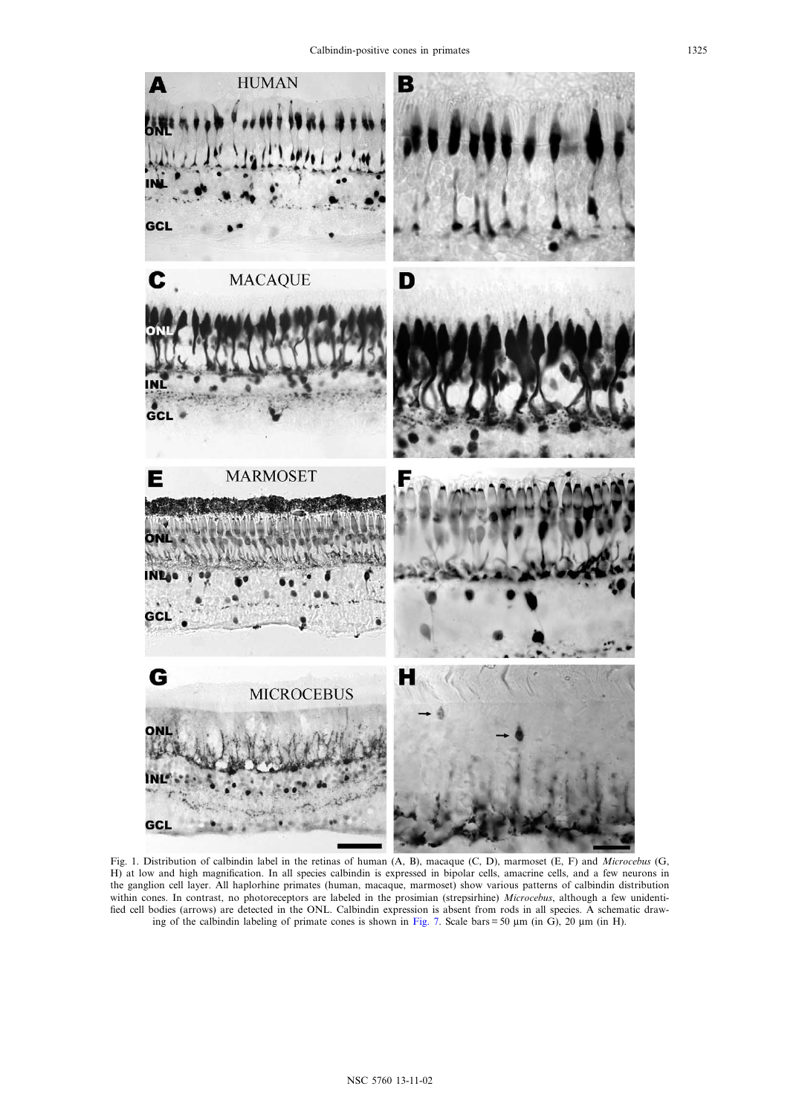<span id="page-2-0"></span>

Fig. 1. Distribution of calbindin label in the retinas of human (A, B), macaque (C, D), marmoset (E, F) and Microcebus (G, H) at low and high magnification. In all species calbindin is expressed in bipolar cells, amacrine cells, and a few neurons in the ganglion cell layer. All haplorhine primates (human, macaque, marmoset) show various patterns of calbindin distribution within cones. In contrast, no photoreceptors are labeled in the prosimian (strepsirhine) Microcebus, although a few unidentified cell bodies (arrows) are detected in the ONL. Calbindin expression is absent from rods in all species. A schematic draw-ing of the calbindin labeling of primate cones is shown in [Fig. 7](#page-8-0). Scale bars = 50  $\mu$ m (in G), 20  $\mu$ m (in H).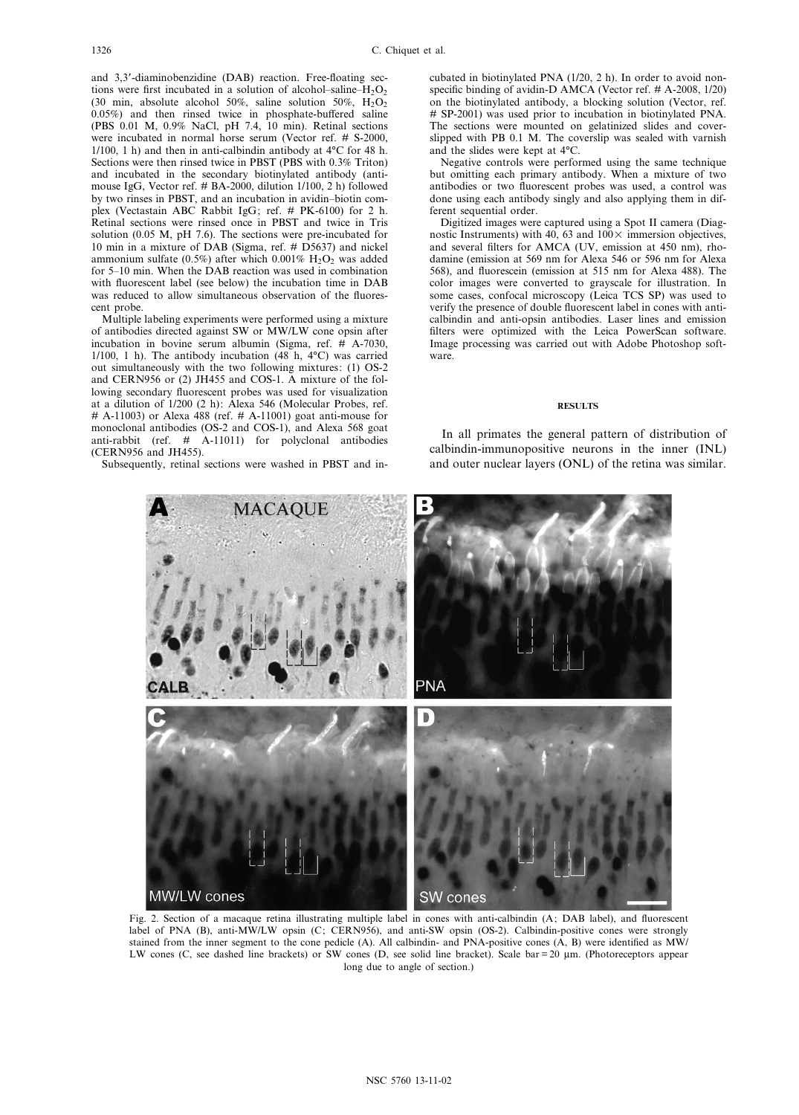<span id="page-3-0"></span>and 3,3'-diaminobenzidine (DAB) reaction. Free-floating sections were first incubated in a solution of alcohol-saline- $H_2O_2$ (30 min, absolute alcohol 50%, saline solution 50%,  $H_2O_2$  $0.05\%$ ) and then rinsed twice in phosphate-buffered saline (PBS 0.01 M, 0.9% NaCl, pH 7.4, 10 min). Retinal sections were incubated in normal horse serum (Vector ref. # S-2000,  $1/100$ , 1 h) and then in anti-calbindin antibody at  $4^{\circ}$ C for 48 h. Sections were then rinsed twice in PBST (PBS with 0.3% Triton) and incubated in the secondary biotinylated antibody (antimouse IgG, Vector ref. # BA-2000, dilution 1/100, 2 h) followed by two rinses in PBST, and an incubation in avidin^biotin complex (Vectastain ABC Rabbit IgG; ref. # PK-6100) for 2 h. Retinal sections were rinsed once in PBST and twice in Tris solution (0.05 M, pH 7.6). The sections were pre-incubated for 10 min in a mixture of DAB (Sigma, ref. # D5637) and nickel ammonium sulfate (0.5%) after which 0.001%  $H_2O_2$  was added for 5^10 min. When the DAB reaction was used in combination with fluorescent label (see below) the incubation time in DAB was reduced to allow simultaneous observation of the fluorescent probe.

Multiple labeling experiments were performed using a mixture of antibodies directed against SW or MW/LW cone opsin after incubation in bovine serum albumin (Sigma, ref. # A-7030, 1/100, 1 h). The antibody incubation  $(48 \text{ h}, 4^{\circ}\text{C})$  was carried out simultaneously with the two following mixtures: (1) OS-2 and CERN956 or (2) JH455 and COS-1. A mixture of the following secondary fluorescent probes was used for visualization at a dilution of 1/200 (2 h): Alexa 546 (Molecular Probes, ref.  $\#$  A-11003) or Alexa 488 (ref.  $\#$  A-11001) goat anti-mouse for monoclonal antibodies (OS-2 and COS-1), and Alexa 568 goat anti-rabbit (ref. # A-11011) for polyclonal antibodies (CERN956 and JH455).

Subsequently, retinal sections were washed in PBST and in-

cubated in biotinylated PNA (1/20, 2 h). In order to avoid nonspecific binding of avidin-D AMCA (Vector ref.  $# A-2008$ , 1/20) on the biotinylated antibody, a blocking solution (Vector, ref. # SP-2001) was used prior to incubation in biotinylated PNA. The sections were mounted on gelatinized slides and coverslipped with PB 0.1 M. The coverslip was sealed with varnish and the slides were kept at  $4^{\circ}C$ .

Negative controls were performed using the same technique but omitting each primary antibody. When a mixture of two antibodies or two fluorescent probes was used, a control was done using each antibody singly and also applying them in different sequential order.

Digitized images were captured using a Spot II camera (Diagnostic Instruments) with 40, 63 and  $100 \times$  immersion objectives, and several filters for AMCA (UV, emission at 450 nm), rhodamine (emission at 569 nm for Alexa 546 or 596 nm for Alexa 568), and fluorescein (emission at 515 nm for Alexa 488). The color images were converted to grayscale for illustration. In some cases, confocal microscopy (Leica TCS SP) was used to verify the presence of double fluorescent label in cones with anticalbindin and anti-opsin antibodies. Laser lines and emission filters were optimized with the Leica PowerScan software. Image processing was carried out with Adobe Photoshop software.

#### **RESULTS**

In all primates the general pattern of distribution of calbindin-immunopositive neurons in the inner (INL) and outer nuclear layers (ONL) of the retina was similar.



Fig. 2. Section of a macaque retina illustrating multiple label in cones with anti-calbindin (A; DAB label), and fluorescent label of PNA (B), anti-MW/LW opsin (C; CERN956), and anti-SW opsin (OS-2). Calbindin-positive cones were strongly stained from the inner segment to the cone pedicle (A). All calbindin- and PNA-positive cones  $(A, B)$  were identified as MW/ LW cones (C, see dashed line brackets) or SW cones (D, see solid line bracket). Scale bar  $= 20 \text{ µm}$ . (Photoreceptors appear long due to angle of section.)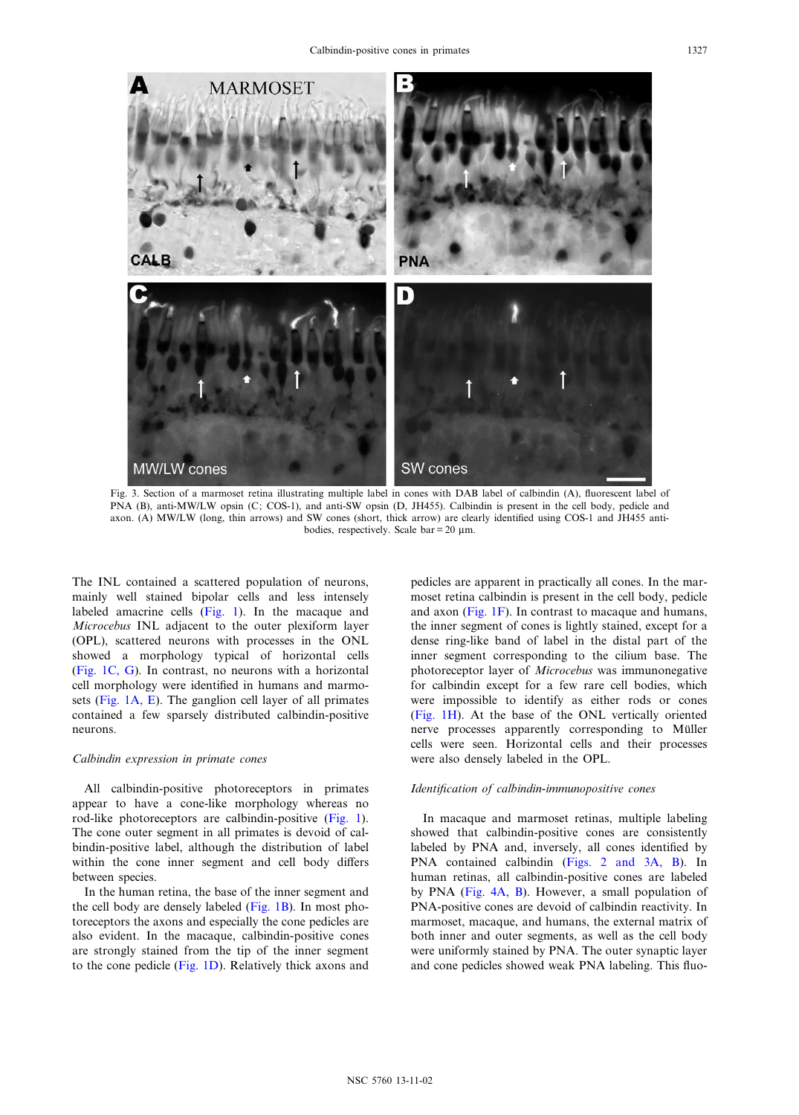

Fig. 3. Section of a marmoset retina illustrating multiple label in cones with DAB label of calbindin (A), fluorescent label of PNA (B), anti-MW/LW opsin (C; COS-1), and anti-SW opsin (D, JH455). Calbindin is present in the cell body, pedicle and axon. (A) MW/LW (long, thin arrows) and SW cones (short, thick arrow) are clearly identified using COS-1 and JH455 antibodies, respectively. Scale bar =  $20 \mu$ m.

The INL contained a scattered population of neurons, mainly well stained bipolar cells and less intensely labeled amacrine cells [\(Fig. 1\)](#page-2-0). In the macaque and Microcebus INL adjacent to the outer plexiform layer (OPL), scattered neurons with processes in the ONL showed a morphology typical of horizontal cells ([Fig. 1C, G](#page-2-0)). In contrast, no neurons with a horizontal cell morphology were identified in humans and marmosets [\(Fig. 1A, E\)](#page-2-0). The ganglion cell layer of all primates contained a few sparsely distributed calbindin-positive neurons.

## Calbindin expression in primate cones

All calbindin-positive photoreceptors in primates appear to have a cone-like morphology whereas no rod-like photoreceptors are calbindin-positive ([Fig. 1\)](#page-2-0). The cone outer segment in all primates is devoid of calbindin-positive label, although the distribution of label within the cone inner segment and cell body differs between species.

In the human retina, the base of the inner segment and the cell body are densely labeled [\(Fig. 1B](#page-2-0)). In most photoreceptors the axons and especially the cone pedicles are also evident. In the macaque, calbindin-positive cones are strongly stained from the tip of the inner segment to the cone pedicle ([Fig. 1D](#page-2-0)). Relatively thick axons and pedicles are apparent in practically all cones. In the marmoset retina calbindin is present in the cell body, pedicle and axon ([Fig. 1F](#page-2-0)). In contrast to macaque and humans, the inner segment of cones is lightly stained, except for a dense ring-like band of label in the distal part of the inner segment corresponding to the cilium base. The photoreceptor layer of Microcebus was immunonegative for calbindin except for a few rare cell bodies, which were impossible to identify as either rods or cones [\(Fig. 1H\)](#page-2-0). At the base of the ONL vertically oriented nerve processes apparently corresponding to Müller cells were seen. Horizontal cells and their processes were also densely labeled in the OPL.

## Identification of calbindin-immunopositive cones

In macaque and marmoset retinas, multiple labeling showed that calbindin-positive cones are consistently labeled by PNA and, inversely, all cones identified by PNA contained calbindin [\(Figs. 2 and 3A, B\)](#page-3-0). In human retinas, all calbindin-positive cones are labeled by PNA [\(Fig. 4A, B\)](#page-5-0). However, a small population of PNA-positive cones are devoid of calbindin reactivity. In marmoset, macaque, and humans, the external matrix of both inner and outer segments, as well as the cell body were uniformly stained by PNA. The outer synaptic layer and cone pedicles showed weak PNA labeling. This fluo-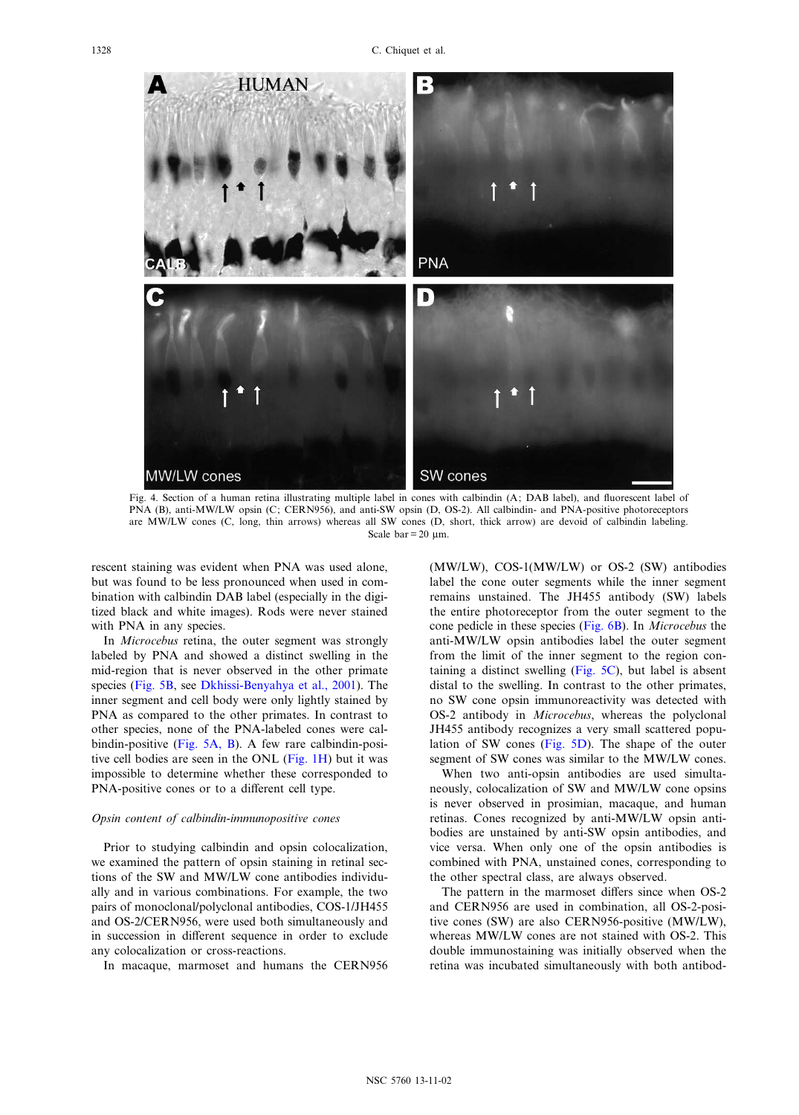<span id="page-5-0"></span>

Fig. 4. Section of a human retina illustrating multiple label in cones with calbindin (A; DAB label), and fluorescent label of PNA (B), anti-MW/LW opsin (C; CERN956), and anti-SW opsin (D, OS-2). All calbindin- and PNA-positive photoreceptors are MW/LW cones (C, long, thin arrows) whereas all SW cones (D, short, thick arrow) are devoid of calbindin labeling. Scale  $bar = 20$  um.

rescent staining was evident when PNA was used alone, but was found to be less pronounced when used in combination with calbindin DAB label (especially in the digitized black and white images). Rods were never stained with PNA in any species.

In Microcebus retina, the outer segment was strongly labeled by PNA and showed a distinct swelling in the mid-region that is never observed in the other primate species [\(Fig. 5B](#page-6-0), see [Dkhissi-Benyahya et al., 2001\)](#page-9-0). The inner segment and cell body were only lightly stained by PNA as compared to the other primates. In contrast to other species, none of the PNA-labeled cones were calbindin-positive [\(Fig. 5A, B](#page-6-0)). A few rare calbindin-positive cell bodies are seen in the ONL [\(Fig. 1H](#page-2-0)) but it was impossible to determine whether these corresponded to PNA-positive cones or to a different cell type.

## Opsin content of calbindin-immunopositive cones

Prior to studying calbindin and opsin colocalization, we examined the pattern of opsin staining in retinal sections of the SW and MW/LW cone antibodies individually and in various combinations. For example, the two pairs of monoclonal/polyclonal antibodies, COS-1/JH455 and OS-2/CERN956, were used both simultaneously and in succession in different sequence in order to exclude any colocalization or cross-reactions.

In macaque, marmoset and humans the CERN956

(MW/LW), COS-1(MW/LW) or OS-2 (SW) antibodies label the cone outer segments while the inner segment remains unstained. The JH455 antibody (SW) labels the entire photoreceptor from the outer segment to the cone pedicle in these species ([Fig. 6B\)](#page-7-0). In Microcebus the anti-MW/LW opsin antibodies label the outer segment from the limit of the inner segment to the region containing a distinct swelling ([Fig. 5C\)](#page-6-0), but label is absent distal to the swelling. In contrast to the other primates, no SW cone opsin immunoreactivity was detected with OS-2 antibody in Microcebus, whereas the polyclonal JH455 antibody recognizes a very small scattered population of SW cones ([Fig. 5D\)](#page-6-0). The shape of the outer segment of SW cones was similar to the MW/LW cones.

When two anti-opsin antibodies are used simultaneously, colocalization of SW and MW/LW cone opsins is never observed in prosimian, macaque, and human retinas. Cones recognized by anti-MW/LW opsin antibodies are unstained by anti-SW opsin antibodies, and vice versa. When only one of the opsin antibodies is combined with PNA, unstained cones, corresponding to the other spectral class, are always observed.

The pattern in the marmoset differs since when OS-2 and CERN956 are used in combination, all OS-2-positive cones (SW) are also CERN956-positive (MW/LW), whereas MW/LW cones are not stained with OS-2. This double immunostaining was initially observed when the retina was incubated simultaneously with both antibod-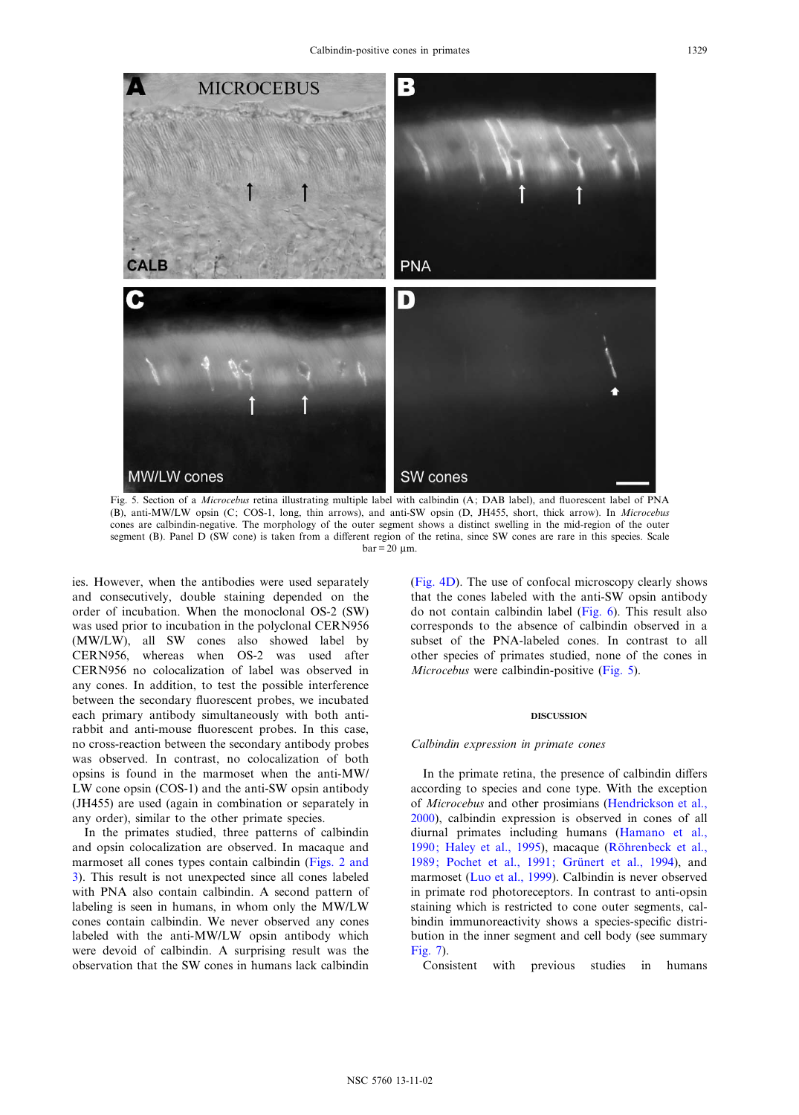<span id="page-6-0"></span>

Fig. 5. Section of a Microcebus retina illustrating multiple label with calbindin (A; DAB label), and fluorescent label of PNA (B), anti-MW/LW opsin (C; COS-1, long, thin arrows), and anti-SW opsin (D, JH455, short, thick arrow). In Microcebus cones are calbindin-negative. The morphology of the outer segment shows a distinct swelling in the mid-region of the outer segment (B). Panel D (SW cone) is taken from a different region of the retina, since SW cones are rare in this species. Scale  $bar = 20$  um.

ies. However, when the antibodies were used separately and consecutively, double staining depended on the order of incubation. When the monoclonal OS-2 (SW) was used prior to incubation in the polyclonal CERN956 (MW/LW), all SW cones also showed label by CERN956, whereas when OS-2 was used after CERN956 no colocalization of label was observed in any cones. In addition, to test the possible interference between the secondary fluorescent probes, we incubated each primary antibody simultaneously with both antirabbit and anti-mouse fluorescent probes. In this case, no cross-reaction between the secondary antibody probes was observed. In contrast, no colocalization of both opsins is found in the marmoset when the anti-MW/ LW cone opsin (COS-1) and the anti-SW opsin antibody (JH455) are used (again in combination or separately in any order), similar to the other primate species.

In the primates studied, three patterns of calbindin and opsin colocalization are observed. In macaque and marmoset all cones types contain calbindin [\(Figs. 2 and](#page-3-0) [3](#page-3-0)). This result is not unexpected since all cones labeled with PNA also contain calbindin. A second pattern of labeling is seen in humans, in whom only the MW/LW cones contain calbindin. We never observed any cones labeled with the anti-MW/LW opsin antibody which were devoid of calbindin. A surprising result was the observation that the SW cones in humans lack calbindin [\(Fig. 4D\)](#page-5-0). The use of confocal microscopy clearly shows that the cones labeled with the anti-SW opsin antibody do not contain calbindin label [\(Fig. 6](#page-7-0)). This result also corresponds to the absence of calbindin observed in a subset of the PNA-labeled cones. In contrast to all other species of primates studied, none of the cones in Microcebus were calbindin-positive (Fig. 5).

## DISCUSSION

#### Calbindin expression in primate cones

In the primate retina, the presence of calbindin differs according to species and cone type. With the exception of Microcebus and other prosimians ([Hendrickson et al.,](#page-9-0) [2000](#page-9-0)), calbindin expression is observed in cones of all diurnal primates including humans ([Hamano et al.,](#page-9-0) [1990; Haley et al., 1995](#page-9-0)), macaque (Röhrenbeck et al., 1989; Pochet et al., 1991; Grünert et al., 1994), and marmoset [\(Luo et al., 1999](#page-10-0)). Calbindin is never observed in primate rod photoreceptors. In contrast to anti-opsin staining which is restricted to cone outer segments, calbindin immunoreactivity shows a species-specific distribution in the inner segment and cell body (see summary [Fig. 7](#page-8-0)).

Consistent with previous studies in humans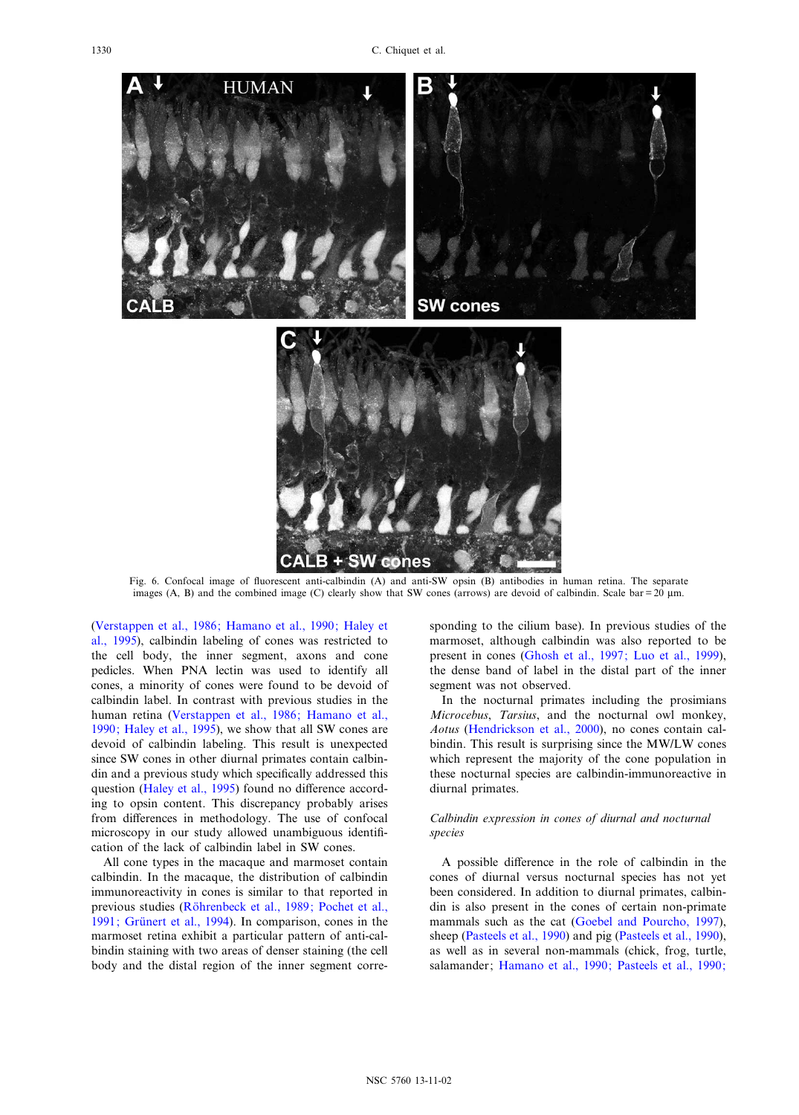<span id="page-7-0"></span>

Fig. 6. Confocal image of fluorescent anti-calbindin (A) and anti-SW opsin (B) antibodies in human retina. The separate images  $(A, B)$  and the combined image  $(C)$  clearly show that SW cones (arrows) are devoid of calbindin. Scale bar = 20 µm.

[\(Verstappen et al., 1986; Hamano et al., 1990; Haley et](#page-10-0) [al., 1995\)](#page-10-0), calbindin labeling of cones was restricted to the cell body, the inner segment, axons and cone pedicles. When PNA lectin was used to identify all cones, a minority of cones were found to be devoid of calbindin label. In contrast with previous studies in the human retina [\(Verstappen et al., 1986; Hamano et al.,](#page-10-0) [1990; Haley et al., 1995\)](#page-10-0), we show that all SW cones are devoid of calbindin labeling. This result is unexpected since SW cones in other diurnal primates contain calbindin and a previous study which specifically addressed this question ([Haley et al., 1995](#page-9-0)) found no difference according to opsin content. This discrepancy probably arises from differences in methodology. The use of confocal microscopy in our study allowed unambiguous identification of the lack of calbindin label in SW cones.

All cone types in the macaque and marmoset contain calbindin. In the macaque, the distribution of calbindin immunoreactivity in cones is similar to that reported in previous studies (Röhrenbeck et al., 1989; Pochet et al., 1991; Grünert et al., 1994). In comparison, cones in the marmoset retina exhibit a particular pattern of anti-calbindin staining with two areas of denser staining (the cell body and the distal region of the inner segment corresponding to the cilium base). In previous studies of the marmoset, although calbindin was also reported to be present in cones ([Ghosh et al., 1997; Luo et al., 1999\)](#page-9-0), the dense band of label in the distal part of the inner segment was not observed.

In the nocturnal primates including the prosimians Microcebus, Tarsius, and the nocturnal owl monkey, Aotus [\(Hendrickson et al., 2000\)](#page-9-0), no cones contain calbindin. This result is surprising since the MW/LW cones which represent the majority of the cone population in these nocturnal species are calbindin-immunoreactive in diurnal primates.

# Calbindin expression in cones of diurnal and nocturnal species

A possible difference in the role of calbindin in the cones of diurnal versus nocturnal species has not yet been considered. In addition to diurnal primates, calbindin is also present in the cones of certain non-primate mammals such as the cat ([Goebel and Pourcho, 1997\)](#page-9-0), sheep [\(Pasteels et al., 1990\)](#page-10-0) and pig [\(Pasteels et al., 1990\)](#page-10-0), as well as in several non-mammals (chick, frog, turtle, salamander; [Hamano et al., 1990; Pasteels et al., 1990;](#page-9-0)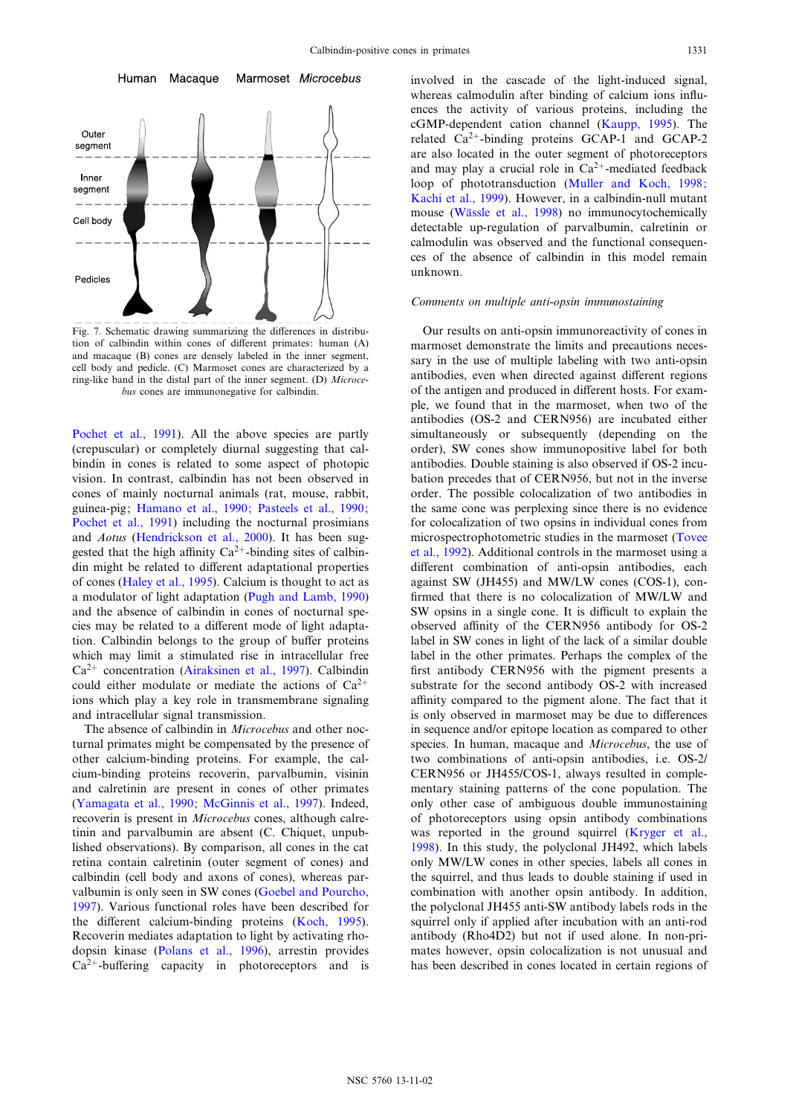<span id="page-8-0"></span>

Fig. 7. Schematic drawing summarizing the differences in distribution of calbindin within cones of different primates: human (A) and macaque (B) cones are densely labeled in the inner segment, cell body and pedicle. (C) Marmoset cones are characterized by a ring-like band in the distal part of the inner segment. (D) Microcebus cones are immunonegative for calbindin.

[Pochet et al., 1991\)](#page-9-0). All the above species are partly (crepuscular) or completely diurnal suggesting that calbindin in cones is related to some aspect of photopic vision. In contrast, calbindin has not been observed in cones of mainly nocturnal animals (rat, mouse, rabbit, guinea-pig; [Hamano et al., 1990; Pasteels et al., 1990;](#page-9-0) [Pochet et al., 1991\)](#page-9-0) including the nocturnal prosimians and Aotus [\(Hendrickson et al., 2000\)](#page-9-0). It has been suggested that the high affinity  $Ca^{2+}$ -binding sites of calbindin might be related to different adaptational properties of cones [\(Haley et al., 1995](#page-9-0)). Calcium is thought to act as a modulator of light adaptation ([Pugh and Lamb, 1990\)](#page-10-0) and the absence of calbindin in cones of nocturnal species may be related to a different mode of light adaptation. Calbindin belongs to the group of buffer proteins which may limit a stimulated rise in intracellular free  $Ca^{2+}$  concentration [\(Airaksinen et al., 1997\)](#page-9-0). Calbindin could either modulate or mediate the actions of  $Ca^{2+}$ ions which play a key role in transmembrane signaling and intracellular signal transmission.

The absence of calbindin in *Microcebus* and other nocturnal primates might be compensated by the presence of other calcium-binding proteins. For example, the calcium-binding proteins recoverin, parvalbumin, visinin and calretinin are present in cones of other primates ([Yamagata et al., 1990; McGinnis et al., 1997](#page-10-0)). Indeed, recoverin is present in Microcebus cones, although calretinin and parvalbumin are absent (C. Chiquet, unpublished observations). By comparison, all cones in the cat retina contain calretinin (outer segment of cones) and calbindin (cell body and axons of cones), whereas parvalbumin is only seen in SW cones ([Goebel and Pourcho,](#page-9-0) [1997\)](#page-9-0). Various functional roles have been described for the different calcium-binding proteins [\(Koch, 1995\)](#page-9-0). Recoverin mediates adaptation to light by activating rhodopsin kinase ([Polans et al., 1996\)](#page-10-0), arrestin provides  $Ca^{2+}$ -buffering capacity in photoreceptors and is involved in the cascade of the light-induced signal, whereas calmodulin after binding of calcium ions influences the activity of various proteins, including the cGMP-dependent cation channel [\(Kaupp, 1995](#page-9-0)). The related  $Ca^{2+}$ -binding proteins GCAP-1 and GCAP-2 are also located in the outer segment of photoreceptors and may play a crucial role in  $Ca^{2+}$ -mediated feedback loop of phototransduction ([Muller and Koch, 1998;](#page-10-0) [Kachi et al., 1999\)](#page-10-0). However, in a calbindin-null mutant mouse (Wässle et al., 1998) no immunocytochemically detectable up-regulation of parvalbumin, calretinin or calmodulin was observed and the functional consequences of the absence of calbindin in this model remain unknown.

# Comments on multiple anti-opsin immunostaining

Our results on anti-opsin immunoreactivity of cones in marmoset demonstrate the limits and precautions necessary in the use of multiple labeling with two anti-opsin antibodies, even when directed against different regions of the antigen and produced in different hosts. For example, we found that in the marmoset, when two of the antibodies (OS-2 and CERN956) are incubated either simultaneously or subsequently (depending on the order), SW cones show immunopositive label for both antibodies. Double staining is also observed if OS-2 incubation precedes that of CERN956, but not in the inverse order. The possible colocalization of two antibodies in the same cone was perplexing since there is no evidence for colocalization of two opsins in individual cones from microspectrophotometric studies in the marmoset ([Tovee](#page-10-0) [et al., 1992](#page-10-0)). Additional controls in the marmoset using a different combination of anti-opsin antibodies, each against SW (JH455) and MW/LW cones (COS-1), con firmed that there is no colocalization of MW/LW and SW opsins in a single cone. It is difficult to explain the observed affinity of the CERN956 antibody for OS-2 label in SW cones in light of the lack of a similar double label in the other primates. Perhaps the complex of the first antibody CERN956 with the pigment presents a substrate for the second antibody OS-2 with increased affinity compared to the pigment alone. The fact that it is only observed in marmoset may be due to differences in sequence and/or epitope location as compared to other species. In human, macaque and Microcebus, the use of two combinations of anti-opsin antibodies, i.e. OS-2/ CERN956 or JH455/COS-1, always resulted in complementary staining patterns of the cone population. The only other case of ambiguous double immunostaining of photoreceptors using opsin antibody combinations was reported in the ground squirrel [\(Kryger et al.,](#page-9-0) [1998](#page-9-0)). In this study, the polyclonal JH492, which labels only MW/LW cones in other species, labels all cones in the squirrel, and thus leads to double staining if used in combination with another opsin antibody. In addition, the polyclonal JH455 anti-SW antibody labels rods in the squirrel only if applied after incubation with an anti-rod antibody (Rho4D2) but not if used alone. In non-primates however, opsin colocalization is not unusual and has been described in cones located in certain regions of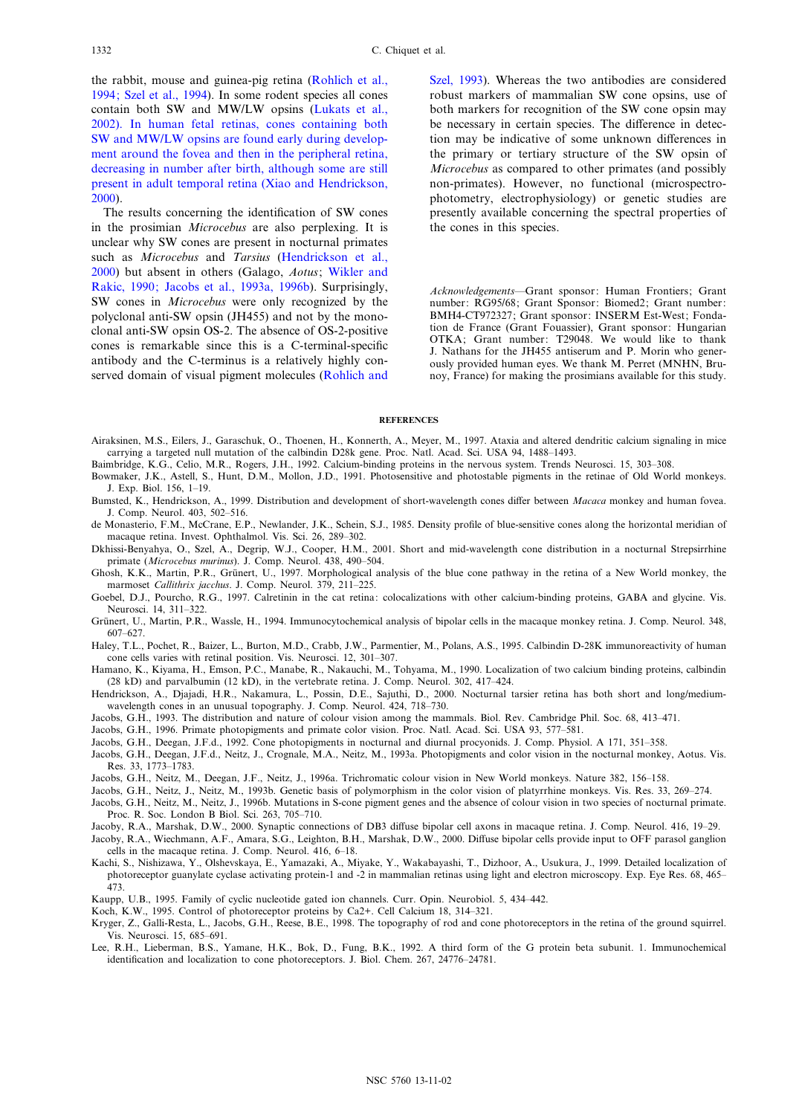<span id="page-9-0"></span>the rabbit, mouse and guinea-pig retina [\(Rohlich et al.,](#page-10-0) [1994; Szel et al., 1994](#page-10-0)). In some rodent species all cones contain both SW and MW/LW opsins [\(Lukats et al.,](#page-10-0) [2002](#page-10-0)). In human fetal retinas, cones containing both SW and MW/LW opsins are found early during development around the fovea and then in the peripheral retina, decreasing in number after birth, although some are still present in adult temporal retina ([Xiao and Hendrickson,](#page-10-0) [2000](#page-10-0)).

The results concerning the identification of SW cones in the prosimian Microcebus are also perplexing. It is unclear why SW cones are present in nocturnal primates such as Microcebus and Tarsius (Hendrickson et al., 2000) but absent in others (Galago, Aotus; [Wikler and](#page-10-0) [Rakic, 1990; Jacobs et al., 1993a, 1996b\)](#page-10-0). Surprisingly, SW cones in Microcebus were only recognized by the polyclonal anti-SW opsin (JH455) and not by the monoclonal anti-SW opsin OS-2. The absence of OS-2-positive cones is remarkable since this is a C-terminal-specific antibody and the C-terminus is a relatively highly conserved domain of visual pigment molecules [\(Rohlich and](#page-10-0) [Szel, 1993\)](#page-10-0). Whereas the two antibodies are considered robust markers of mammalian SW cone opsins, use of both markers for recognition of the SW cone opsin may be necessary in certain species. The difference in detection may be indicative of some unknown differences in the primary or tertiary structure of the SW opsin of Microcebus as compared to other primates (and possibly non-primates). However, no functional (microspectrophotometry, electrophysiology) or genetic studies are presently available concerning the spectral properties of the cones in this species.

Acknowledgements-Grant sponsor: Human Frontiers; Grant number: RG95/68; Grant Sponsor: Biomed2; Grant number: BMH4-CT972327; Grant sponsor: INSERM Est-West; Fondation de France (Grant Fouassier), Grant sponsor: Hungarian OTKA; Grant number: T29048. We would like to thank J. Nathans for the JH455 antiserum and P. Morin who generously provided human eyes. We thank M. Perret (MNHN, Brunoy, France) for making the prosimians available for this study.

#### **REFERENCES**

- Airaksinen, M.S., Eilers, J., Garaschuk, O., Thoenen, H., Konnerth, A., Meyer, M., 1997. Ataxia and altered dendritic calcium signaling in mice carrying a targeted null mutation of the calbindin D28k gene. Proc. Natl. Acad. Sci. USA 94, 1488^1493.
- Baimbridge, K.G., Celio, M.R., Rogers, J.H., 1992. Calcium-binding proteins in the nervous system. Trends Neurosci. 15, 303^308.
- Bowmaker, J.K., Astell, S., Hunt, D.M., Mollon, J.D., 1991. Photosensitive and photostable pigments in the retinae of Old World monkeys. J. Exp. Biol. 156, 1^19.
- Bumsted, K., Hendrickson, A., 1999. Distribution and development of short-wavelength cones differ between Macaca monkey and human fovea. J. Comp. Neurol. 403, 502-516.
- de Monasterio, F.M., McCrane, E.P., Newlander, J.K., Schein, S.J., 1985. Density profile of blue-sensitive cones along the horizontal meridian of macaque retina. Invest. Ophthalmol. Vis. Sci. 26, 289-302.
- Dkhissi-Benyahya, O., Szel, A., Degrip, W.J., Cooper, H.M., 2001. Short and mid-wavelength cone distribution in a nocturnal Strepsirrhine primate (Microcebus murinus). J. Comp. Neurol. 438, 490-504.
- Ghosh, K.K., Martin, P.R., Grünert, U., 1997. Morphological analysis of the blue cone pathway in the retina of a New World monkey, the marmoset Callithrix jacchus. J. Comp. Neurol. 379, 211-225.
- Goebel, D.J., Pourcho, R.G., 1997. Calretinin in the cat retina: colocalizations with other calcium-binding proteins, GABA and glycine. Vis. Neurosci. 14, 311-322.
- Grünert, U., Martin, P.R., Wassle, H., 1994. Immunocytochemical analysis of bipolar cells in the macaque monkey retina. J. Comp. Neurol. 348, 607^627.
- Haley, T.L., Pochet, R., Baizer, L., Burton, M.D., Crabb, J.W., Parmentier, M., Polans, A.S., 1995. Calbindin D-28K immunoreactivity of human cone cells varies with retinal position. Vis. Neurosci. 12, 301-307.
- Hamano, K., Kiyama, H., Emson, P.C., Manabe, R., Nakauchi, M., Tohyama, M., 1990. Localization of two calcium binding proteins, calbindin (28 kD) and parvalbumin (12 kD), in the vertebrate retina. J. Comp. Neurol. 302, 417^424.
- Hendrickson, A., Djajadi, H.R., Nakamura, L., Possin, D.E., Sajuthi, D., 2000. Nocturnal tarsier retina has both short and long/mediumwavelength cones in an unusual topography. J. Comp. Neurol. 424, 718-730.
- Jacobs, G.H., 1993. The distribution and nature of colour vision among the mammals. Biol. Rev. Cambridge Phil. Soc. 68, 413^471.
- Jacobs, G.H., 1996. Primate photopigments and primate color vision. Proc. Natl. Acad. Sci. USA 93, 577-581.
- Jacobs, G.H., Deegan, J.F.d., 1992. Cone photopigments in nocturnal and diurnal procyonids. J. Comp. Physiol. A 171, 351^358.
- Jacobs, G.H., Deegan, J.F.d., Neitz, J., Crognale, M.A., Neitz, M., 1993a. Photopigments and color vision in the nocturnal monkey, Aotus. Vis. Res. 33, 1773-1783.
- Jacobs, G.H., Neitz, M., Deegan, J.F., Neitz, J., 1996a. Trichromatic colour vision in New World monkeys. Nature 382, 156^158.
- Jacobs, G.H., Neitz, J., Neitz, M., 1993b. Genetic basis of polymorphism in the color vision of platyrrhine monkeys. Vis. Res. 33, 269^274.
- Jacobs, G.H., Neitz, M., Neitz, J., 1996b. Mutations in S-cone pigment genes and the absence of colour vision in two species of nocturnal primate. Proc. R. Soc. London B Biol. Sci. 263, 705^710.
- Jacoby, R.A., Marshak, D.W., 2000. Synaptic connections of DB3 diffuse bipolar cell axons in macaque retina. J. Comp. Neurol. 416, 19-29.
- Jacoby, R.A., Wiechmann, A.F., Amara, S.G., Leighton, B.H., Marshak, D.W., 2000. Diffuse bipolar cells provide input to OFF parasol ganglion cells in the macaque retina. J. Comp. Neurol. 416, 6^18.
- Kachi, S., Nishizawa, Y., Olshevskaya, E., Yamazaki, A., Miyake, Y., Wakabayashi, T., Dizhoor, A., Usukura, J., 1999. Detailed localization of photoreceptor guanylate cyclase activating protein-1 and -2 in mammalian retinas using light and electron microscopy. Exp. Eye Res. 68, 465^ 473.
- Kaupp, U.B., 1995. Family of cyclic nucleotide gated ion channels. Curr. Opin. Neurobiol. 5, 434^442.

Koch, K.W., 1995. Control of photoreceptor proteins by Ca2+. Cell Calcium 18, 314-321.

- Kryger, Z., Galli-Resta, L., Jacobs, G.H., Reese, B.E., 1998. The topography of rod and cone photoreceptors in the retina of the ground squirrel. Vis. Neurosci. 15, 685^691.
- Lee, R.H., Lieberman, B.S., Yamane, H.K., Bok, D., Fung, B.K., 1992. A third form of the G protein beta subunit. 1. Immunochemical identification and localization to cone photoreceptors. J. Biol. Chem. 267, 24776-24781.